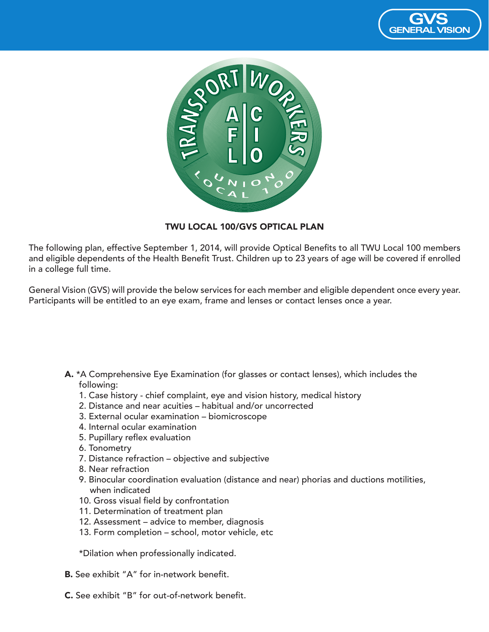



## TWU LOCAL 100/GVS OPTICAL PLAN

The following plan, effective September 1, 2014, will provide Optical Benefits to all TWU Local 100 members and eligible dependents of the Health Benefit Trust. Children up to 23 years of age will be covered if enrolled in a college full time.

General Vision (GVS) will provide the below services for each member and eligible dependent once every year. Participants will be entitled to an eye exam, frame and lenses or contact lenses once a year.

- A. \*A Comprehensive Eye Examination (for glasses or contact lenses), which includes the following:
	- 1. Case history chief complaint, eye and vision history, medical history
	- 2. Distance and near acuities habitual and/or uncorrected
	- 3. External ocular examination biomicroscope
	- 4. Internal ocular examination
	- 5. Pupillary reflex evaluation
	- 6. Tonometry
	- 7. Distance refraction objective and subjective
	- 8. Near refraction
	- 9. Binocular coordination evaluation (distance and near) phorias and ductions motilities, when indicated
	- 10. Gross visual field by confrontation
	- 11. Determination of treatment plan
	- 12. Assessment advice to member, diagnosis
	- 13. Form completion school, motor vehicle, etc

\*Dilation when professionally indicated.

- B. See exhibit "A" for in-network benefit.
- C. See exhibit "B" for out-of-network benefit.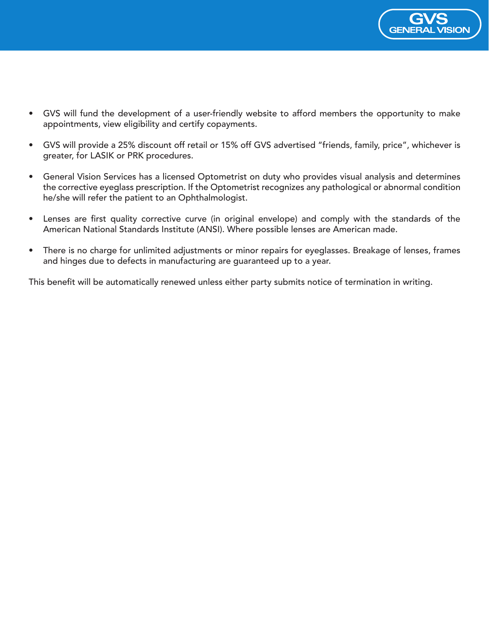

- GVS will fund the development of a user-friendly website to afford members the opportunity to make appointments, view eligibility and certify copayments.
- GVS will provide a 25% discount off retail or 15% off GVS advertised "friends, family, price", whichever is greater, for LASIK or PRK procedures.
- General Vision Services has a licensed Optometrist on duty who provides visual analysis and determines the corrective eyeglass prescription. If the Optometrist recognizes any pathological or abnormal condition he/she will refer the patient to an Ophthalmologist.
- Lenses are first quality corrective curve (in original envelope) and comply with the standards of the American National Standards Institute (ANSI). Where possible lenses are American made.
- There is no charge for unlimited adjustments or minor repairs for eyeglasses. Breakage of lenses, frames and hinges due to defects in manufacturing are guaranteed up to a year.

This benefit will be automatically renewed unless either party submits notice of termination in writing.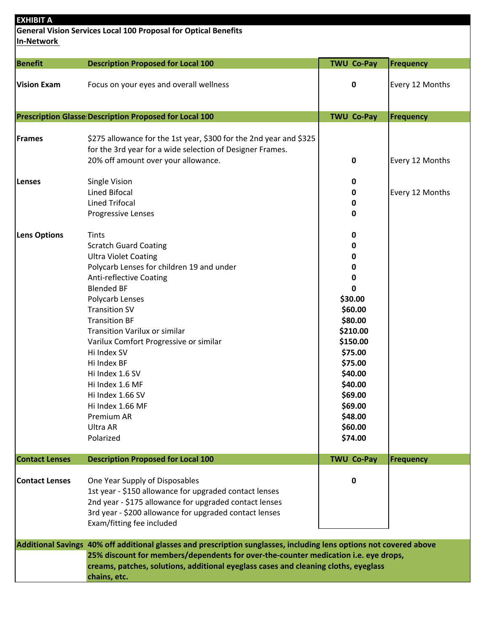| <b>EXHIBIT A</b><br><b>General Vision Services Local 100 Proposal for Optical Benefits</b>                          |                                                                                     |                      |                  |  |  |
|---------------------------------------------------------------------------------------------------------------------|-------------------------------------------------------------------------------------|----------------------|------------------|--|--|
| <b>In-Network</b>                                                                                                   |                                                                                     |                      |                  |  |  |
| Benefit                                                                                                             | <b>Description Proposed for Local 100</b>                                           | <b>TWU Co-Pay</b>    | <b>Frequency</b> |  |  |
| <b>Vision Exam</b>                                                                                                  | Focus on your eyes and overall wellness                                             | 0                    | Every 12 Months  |  |  |
|                                                                                                                     | <b>Prescription Glasse Description Proposed for Local 100</b>                       | <b>TWU Co-Pay</b>    | Frequency        |  |  |
| Frames                                                                                                              | \$275 allowance for the 1st year, \$300 for the 2nd year and \$325                  |                      |                  |  |  |
|                                                                                                                     | for the 3rd year for a wide selection of Designer Frames.                           |                      |                  |  |  |
|                                                                                                                     | 20% off amount over your allowance.                                                 | 0                    | Every 12 Months  |  |  |
| Lenses                                                                                                              | Single Vision                                                                       | 0                    |                  |  |  |
|                                                                                                                     | Lined Bifocal                                                                       | 0                    | Every 12 Months  |  |  |
|                                                                                                                     | <b>Lined Trifocal</b>                                                               | 0                    |                  |  |  |
|                                                                                                                     | Progressive Lenses                                                                  | 0                    |                  |  |  |
| <b>Lens Options</b>                                                                                                 | <b>Tints</b>                                                                        | 0                    |                  |  |  |
|                                                                                                                     | <b>Scratch Guard Coating</b>                                                        | 0                    |                  |  |  |
|                                                                                                                     | <b>Ultra Violet Coating</b>                                                         | 0                    |                  |  |  |
|                                                                                                                     | Polycarb Lenses for children 19 and under                                           | 0                    |                  |  |  |
|                                                                                                                     | <b>Anti-reflective Coating</b>                                                      | 0                    |                  |  |  |
|                                                                                                                     | <b>Blended BF</b>                                                                   | 0                    |                  |  |  |
|                                                                                                                     | Polycarb Lenses                                                                     | \$30.00              |                  |  |  |
|                                                                                                                     | <b>Transition SV</b>                                                                | \$60.00              |                  |  |  |
|                                                                                                                     | <b>Transition BF</b>                                                                | \$80.00              |                  |  |  |
|                                                                                                                     | <b>Transition Varilux or similar</b>                                                | \$210.00<br>\$150.00 |                  |  |  |
|                                                                                                                     | Varilux Comfort Progressive or similar<br>Hi Index SV                               | \$75.00              |                  |  |  |
|                                                                                                                     | Hi Index BF                                                                         | \$75.00              |                  |  |  |
|                                                                                                                     | Hi Index 1.6 SV                                                                     | \$40.00              |                  |  |  |
|                                                                                                                     | Hi Index 1.6 MF                                                                     | \$40.00              |                  |  |  |
|                                                                                                                     | Hi Index 1.66 SV                                                                    | \$69.00              |                  |  |  |
|                                                                                                                     | Hi Index 1.66 MF                                                                    | \$69.00              |                  |  |  |
|                                                                                                                     | Premium AR                                                                          | \$48.00              |                  |  |  |
|                                                                                                                     | Ultra AR                                                                            | \$60.00              |                  |  |  |
|                                                                                                                     | Polarized                                                                           | \$74.00              |                  |  |  |
| <b>Contact Lenses</b>                                                                                               | <b>Description Proposed for Local 100</b>                                           | <b>TWU Co-Pay</b>    | Frequency        |  |  |
| <b>Contact Lenses</b>                                                                                               | One Year Supply of Disposables                                                      | 0                    |                  |  |  |
|                                                                                                                     | 1st year - \$150 allowance for upgraded contact lenses                              |                      |                  |  |  |
|                                                                                                                     | 2nd year - \$175 allowance for upgraded contact lenses                              |                      |                  |  |  |
|                                                                                                                     | 3rd year - \$200 allowance for upgraded contact lenses                              |                      |                  |  |  |
|                                                                                                                     | Exam/fitting fee included                                                           |                      |                  |  |  |
| Additional Savings 40% off additional glasses and prescription sunglasses, including lens options not covered above |                                                                                     |                      |                  |  |  |
| 25% discount for members/dependents for over-the-counter medication i.e. eye drops,                                 |                                                                                     |                      |                  |  |  |
|                                                                                                                     | creams, patches, solutions, additional eyeglass cases and cleaning cloths, eyeglass |                      |                  |  |  |
|                                                                                                                     | chains, etc.                                                                        |                      |                  |  |  |